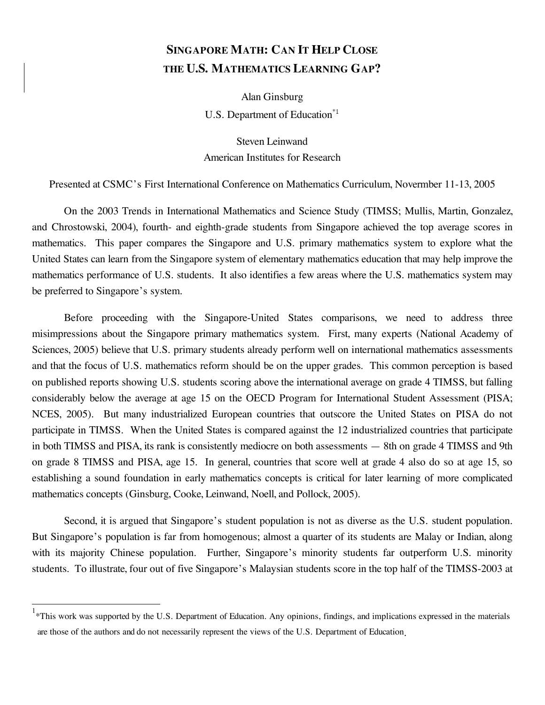# **SINGAPORE MATH: CAN IT HELP CLOSE THE U.S. MATHEMATICS LEARNING GAP?**

Alan Ginsburg U.S. Department of Education<sup>\*1</sup>

Steven Leinwand American Institutes for Research

Presented at CSMC's First International Conference on Mathematics Curriculum, Novermber 11-13, 2005

 On the 2003 Trends in International Mathematics and Science Study (TIMSS; Mullis, Martin, Gonzalez, and Chrostowski, 2004), fourth- and eighth-grade students from Singapore achieved the top average scores in mathematics. This paper compares the Singapore and U.S. primary mathematics system to explore what the United States can learn from the Singapore system of elementary mathematics education that may help improve the mathematics performance of U.S. students. It also identifies a few areas where the U.S. mathematics system may be preferred to Singapore's system.

 Before proceeding with the Singapore-United States comparisons, we need to address three misimpressions about the Singapore primary mathematics system. First, many experts (National Academy of Sciences, 2005) believe that U.S. primary students already perform well on international mathematics assessments and that the focus of U.S. mathematics reform should be on the upper grades. This common perception is based on published reports showing U.S. students scoring above the international average on grade 4 TIMSS, but falling considerably below the average at age 15 on the OECD Program for International Student Assessment (PISA; NCES, 2005). But many industrialized European countries that outscore the United States on PISA do not participate in TIMSS. When the United States is compared against the 12 industrialized countries that participate in both TIMSS and PISA, its rank is consistently mediocre on both assessments — 8th on grade 4 TIMSS and 9th on grade 8 TIMSS and PISA, age 15. In general, countries that score well at grade 4 also do so at age 15, so establishing a sound foundation in early mathematics concepts is critical for later learning of more complicated mathematics concepts (Ginsburg, Cooke, Leinwand, Noell, and Pollock, 2005).

 Second, it is argued that Singapore's student population is not as diverse as the U.S. student population. But Singapore's population is far from homogenous; almost a quarter of its students are Malay or Indian, along with its majority Chinese population. Further, Singapore's minority students far outperform U.S. minority students. To illustrate, four out of five Singapore's Malaysian students score in the top half of the TIMSS-2003 at

 $\overline{1}$ 

<sup>&</sup>lt;sup>1</sup>\*This work was supported by the U.S. Department of Education. Any opinions, findings, and implications expressed in the materials are those of the authors and do not necessarily represent the views of the U.S. Department of Education.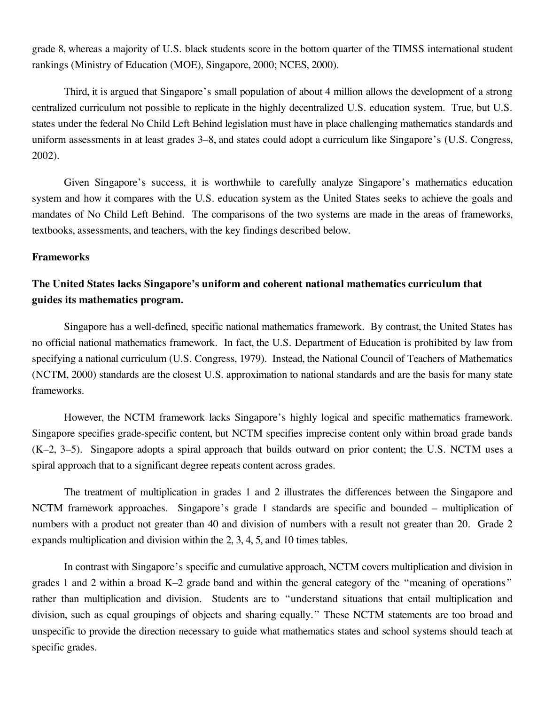grade 8, whereas a majority of U.S. black students score in the bottom quarter of the TIMSS international student rankings (Ministry of Education (MOE), Singapore, 2000; NCES, 2000).

 Third, it is argued that Singapore's small population of about 4 million allows the development of a strong centralized curriculum not possible to replicate in the highly decentralized U.S. education system. True, but U.S. states under the federal No Child Left Behind legislation must have in place challenging mathematics standards and uniform assessments in at least grades 3–8, and states could adopt a curriculum like Singapore's (U.S. Congress, 2002).

 Given Singapore's success, it is worthwhile to carefully analyze Singapore's mathematics education system and how it compares with the U.S. education system as the United States seeks to achieve the goals and mandates of No Child Left Behind. The comparisons of the two systems are made in the areas of frameworks, textbooks, assessments, and teachers, with the key findings described below.

#### **Frameworks**

### **The United States lacks Singapore's uniform and coherent national mathematics curriculum that guides its mathematics program.**

 Singapore has a well-defined, specific national mathematics framework. By contrast, the United States has no official national mathematics framework. In fact, the U.S. Department of Education is prohibited by law from (NCTM, 2000) standards are the closest U.S. approximation to national standards and are the basis for many state specifying a national curriculum (U.S. Congress, 1979). Instead, the National Council of Teachers of Mathematics frameworks.

 However, the NCTM framework lacks Singapore's highly logical and specific mathematics framework. Singapore specifies grade-specific content, but NCTM specifies imprecise content only within broad grade bands (K–2, 3–5). Singapore adopts a spiral approach that builds outward on prior content; the U.S. NCTM uses a spiral approach that to a significant degree repeats content across grades.

 The treatment of multiplication in grades 1 and 2 illustrates the differences between the Singapore and NCTM framework approaches. Singapore's grade 1 standards are specific and bounded – multiplication of numbers with a product not greater than 40 and division of numbers with a result not greater than 20. Grade 2 expands multiplication and division within the 2, 3, 4, 5, and 10 times tables.

 In contrast with Singapore's specific and cumulative approach, NCTM covers multiplication and division in grades 1 and 2 within a broad K–2 grade band and within the general category of the "meaning of operations " rather than multiplication and division. Students are to "understand situations that entail multiplication and division, such as equal groupings of objects and sharing equally." These NCTM statements are too broad and unspecific to provide the direction necessary to guide what mathematics states and school systems should teach at specific grades.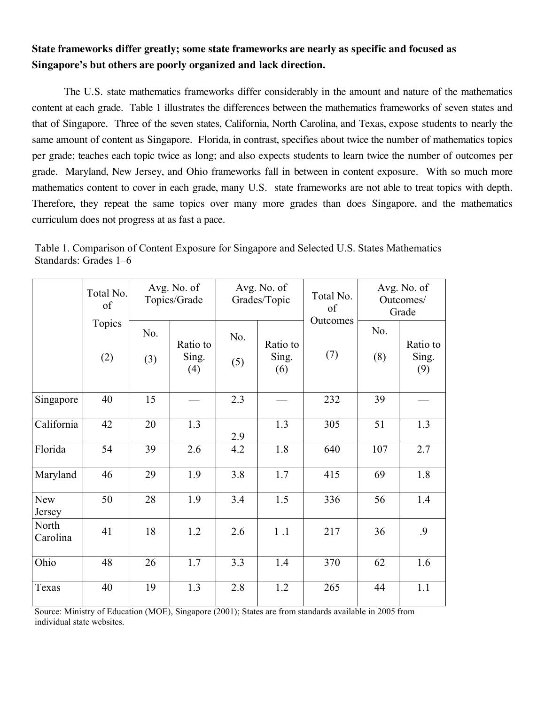## **Singapore's but others are poorly organized and lack direction. State frameworks differ greatly; some state frameworks are nearly as specific and focused as**

 The U.S. state mathematics frameworks differ considerably in the amount and nature of the mathematics content at each grade. Table 1 illustrates the differences between the mathematics frameworks of seven states and that of Singapore. Three of the seven states, California, North Carolina, and Texas, expose students to nearly the same amount of content as Singapore. Florida, in contrast, specifies about twice the number of mathematics topics per grade; teaches each topic twice as long; and also expects students to learn twice the number of outcomes per grade. Maryland, New Jersey, and Ohio frameworks fall in between in content exposure. With so much more mathematics content to cover in each grade, many U.S. state frameworks are not able to treat topics with depth. Therefore, they repeat the same topics over many more grades than does Singapore, and the mathematics curriculum does not progress at as fast a pace.

|                      | Total No.<br>of |            | Avg. No. of<br>Avg. No. of<br>Topics/Grade<br>Grades/Topic |            | Total No.<br>of          | Avg. No. of<br>Outcomes/<br>Grade |            |                          |
|----------------------|-----------------|------------|------------------------------------------------------------|------------|--------------------------|-----------------------------------|------------|--------------------------|
|                      | Topics<br>(2)   | No.<br>(3) | Ratio to<br>Sing.<br>(4)                                   | No.<br>(5) | Ratio to<br>Sing.<br>(6) | Outcomes<br>(7)                   | No.<br>(8) | Ratio to<br>Sing.<br>(9) |
| Singapore            | 40              | 15         |                                                            | 2.3        |                          | 232                               | 39         |                          |
| California           | 42              | 20         | 1.3                                                        | 2.9        | 1.3                      | 305                               | 51         | 1.3                      |
| Florida              | 54              | 39         | 2.6                                                        | 4.2        | 1.8                      | 640                               | 107        | 2.7                      |
| Maryland             | 46              | 29         | 1.9                                                        | 3.8        | 1.7                      | 415                               | 69         | 1.8                      |
| <b>New</b><br>Jersey | 50              | 28         | 1.9                                                        | 3.4        | 1.5                      | 336                               | 56         | 1.4                      |
| North<br>Carolina    | 41              | 18         | 1.2                                                        | 2.6        | 1.1                      | 217                               | 36         | .9                       |
| Ohio                 | 48              | 26         | 1.7                                                        | 3.3        | 1.4                      | 370                               | 62         | 1.6                      |
| Texas                | 40              | 19         | 1.3                                                        | 2.8        | 1.2                      | 265                               | 44         | 1.1                      |

Table 1. Comparison of Content Exposure for Singapore and Selected U.S. States Mathematics Standards: Grades 1–6

 Source: Ministry of Education (MOE), Singapore (2001); States are from standards available in 2005 from individual state websites.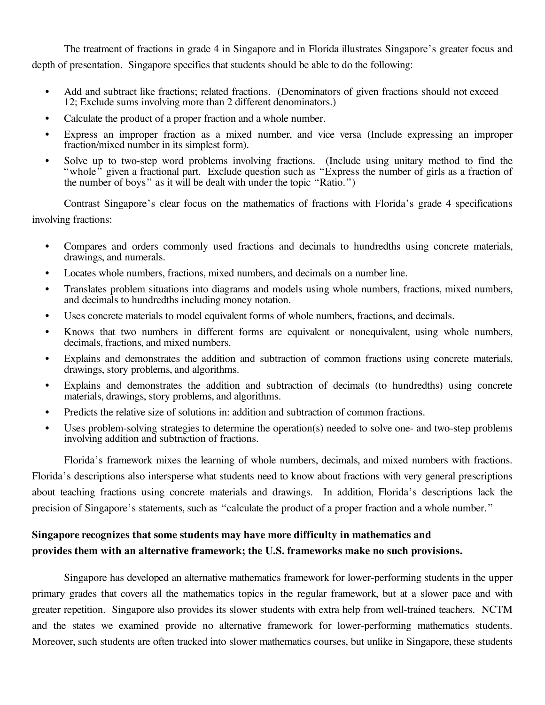The treatment of fractions in grade 4 in Singapore and in Florida illustrates Singapore's greater focus and depth of presentation. Singapore specifies that students should be able to do the following:

- • Add and subtract like fractions; related fractions. (Denominators of given fractions should not exceed 12; Exclude sums involving more than 2 different denominators.)
- Calculate the product of a proper fraction and a whole number.
- • Express an improper fraction as a mixed number, and vice versa (Include expressing an improper fraction/mixed number in its simplest form).
- • Solve up to two-step word problems involving fractions. (Include using unitary method to find the "whole" given a fractional part. Exclude question such as "Express the number of girls as a fraction of the number of boys " as it will be dealt with under the topic "Ratio.")

 Contrast Singapore's clear focus on the mathematics of fractions with Florida's grade 4 specifications involving fractions:

- • Compares and orders commonly used fractions and decimals to hundredths using concrete materials, drawings, and numerals.
- Locates whole numbers, fractions, mixed numbers, and decimals on a number line.
- • Translates problem situations into diagrams and models using whole numbers, fractions, mixed numbers, and decimals to hundredths including money notation.
- Uses concrete materials to model equivalent forms of whole numbers, fractions, and decimals.
- • Knows that two numbers in different forms are equivalent or nonequivalent, using whole numbers, decimals, fractions, and mixed numbers.
- • Explains and demonstrates the addition and subtraction of common fractions using concrete materials, drawings, story problems, and algorithms.
- • Explains and demonstrates the addition and subtraction of decimals (to hundredths) using concrete materials, drawings, story problems, and algorithms.
- Predicts the relative size of solutions in: addition and subtraction of common fractions.
- • Uses problem-solving strategies to determine the operation(s) needed to solve one- and two-step problems involving addition and subtraction of fractions.

 Florida's framework mixes the learning of whole numbers, decimals, and mixed numbers with fractions. Florida's descriptions also intersperse what students need to know about fractions with very general prescriptions about teaching fractions using concrete materials and drawings. In addition, Florida's descriptions lack the precision of Singapore's statements, such as "calculate the product of a proper fraction and a whole number."

## **provides them with an alternative framework; the U.S. frameworks make no such provisions. Singapore recognizes that some students may have more difficulty in mathematics and**

 Singapore has developed an alternative mathematics framework for lower-performing students in the upper primary grades that covers all the mathematics topics in the regular framework, but at a slower pace and with greater repetition. Singapore also provides its slower students with extra help from well-trained teachers. NCTM and the states we examined provide no alternative framework for lower-performing mathematics students. Moreover, such students are often tracked into slower mathematics courses, but unlike in Singapore, these students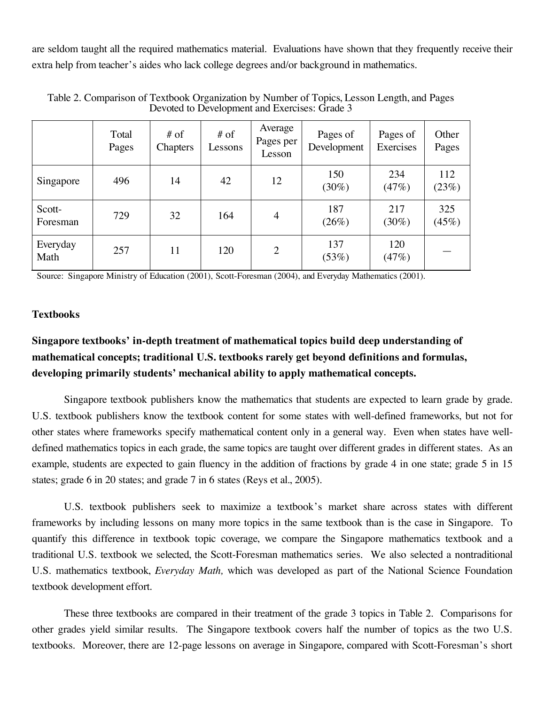are seldom taught all the required mathematics material. Evaluations have shown that they frequently receive their extra help from teacher's aides who lack college degrees and/or background in mathematics.

|                    | Total<br>Pages | $#$ of<br>Chapters | $#$ of<br>Lessons | Average<br>Pages per<br>Lesson | Pages of<br>Development | Pages of<br>Exercises | Other<br>Pages |
|--------------------|----------------|--------------------|-------------------|--------------------------------|-------------------------|-----------------------|----------------|
| Singapore          | 496            | 14                 | 42                | 12                             | 150<br>$(30\%)$         | 234<br>(47%)          | 112<br>(23%)   |
| Scott-<br>Foresman | 729            | 32                 | 164               | 4                              | 187<br>(26%)            | 217<br>$(30\%)$       | 325<br>(45%)   |
| Everyday<br>Math   | 257            | 11                 | 120               | 2                              | 137<br>(53%)            | 120<br>(47%)          |                |

 Table 2. Comparison of Textbook Organization by Number of Topics, Lesson Length, and Pages Devoted to Development and Exercises: Grade 3

Source: Singapore Ministry of Education (2001), Scott-Foresman (2004), and Everyday Mathematics (2001).

#### **Textbooks**

# **Singapore textbooks' in-depth treatment of mathematical topics build deep understanding of mathematical concepts; traditional U.S. textbooks rarely get beyond definitions and formulas, developing primarily students' mechanical ability to apply mathematical concepts.**

 Singapore textbook publishers know the mathematics that students are expected to learn grade by grade. U.S. textbook publishers know the textbook content for some states with well-defined frameworks, but not for other states where frameworks specify mathematical content only in a general way. Even when states have well- defined mathematics topics in each grade, the same topics are taught over different grades in different states. As an example, students are expected to gain fluency in the addition of fractions by grade 4 in one state; grade 5 in 15 states; grade 6 in 20 states; and grade 7 in 6 states (Reys et al., 2005).

 U.S. textbook publishers seek to maximize a textbook's market share across states with different frameworks by including lessons on many more topics in the same textbook than is the case in Singapore. To quantify this difference in textbook topic coverage, we compare the Singapore mathematics textbook and a traditional U.S. textbook we selected, the Scott-Foresman mathematics series. We also selected a nontraditional U.S. mathematics textbook, *Everyday Math,* which was developed as part of the National Science Foundation textbook development effort.

 These three textbooks are compared in their treatment of the grade 3 topics in Table 2. Comparisons for other grades yield similar results. The Singapore textbook covers half the number of topics as the two U.S. textbooks. Moreover, there are 12-page lessons on average in Singapore, compared with Scott-Foresman's short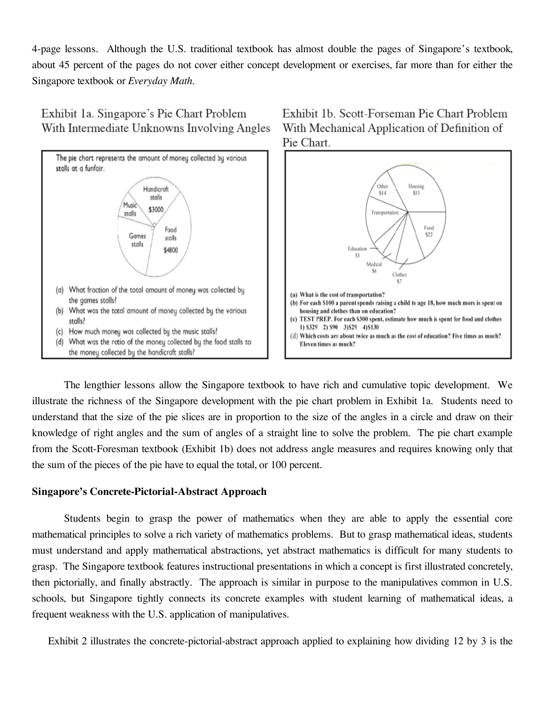4-page lessons. Although the U.S. traditional textbook has almost double the pages of Singapore's textbook, about 45 percent of the pages do not cover either concept development or exercises, far more than for either the Singapore textbook or *Everyday Math*.



Exhibit 1a. Singapore's Pie Chart Problem With Intermediate Unknowns Involving Angles





 The lengthier lessons allow the Singapore textbook to have rich and cumulative topic development. We illustrate the richness of the Singapore development with the pie chart problem in Exhibit 1a. Students need to understand that the size of the pie slices are in proportion to the size of the angles in a circle and draw on their knowledge of right angles and the sum of angles of a straight line to solve the problem. The pie chart example from the Scott-Foresman textbook (Exhibit 1b) does not address angle measures and requires knowing only that the sum of the pieces of the pie have to equal the total, or 100 percent.

#### **Singapore's Concrete-Pictorial-Abstract Approach**

 Students begin to grasp the power of mathematics when they are able to apply the essential core mathematical principles to solve a rich variety of mathematics problems. But to grasp mathematical ideas, students must understand and apply mathematical abstractions, yet abstract mathematics is difficult for many students to grasp. The Singapore textbook features instructional presentations in which a concept is first illustrated concretely, then pictorially, and finally abstractly. The approach is similar in purpose to the manipulatives common in U.S. schools, but Singapore tightly connects its concrete examples with student learning of mathematical ideas, a frequent weakness with the U.S. application of manipulatives.

Exhibit 2 illustrates the concrete-pictorial-abstract approach applied to explaining how dividing 12 by 3 is the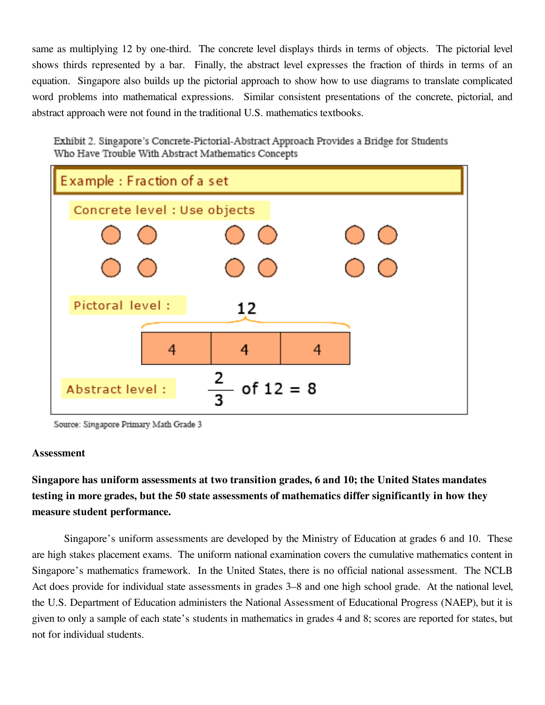same as multiplying 12 by one-third. The concrete level displays thirds in terms of objects. The pictorial level shows thirds represented by a bar. Finally, the abstract level expresses the fraction of thirds in terms of an equation. Singapore also builds up the pictorial approach to show how to use diagrams to translate complicated word problems into mathematical expressions. Similar consistent presentations of the concrete, pictorial, and abstract approach were not found in the traditional U.S. mathematics textbooks.

Exhibit 2. Singapore's Concrete-Pictorial-Abstract Approach Provides a Bridge for Students Who Have Trouble With Abstract Mathematics Concepts



Source: Singapore Primary Math Grade 3

#### **Assessment**

 **Singapore has uniform assessments at two transition grades, 6 and 10; the United States mandates testing in more grades, but the 50 state assessments of mathematics differ significantly in how they measure student performance.** 

 Singapore's uniform assessments are developed by the Ministry of Education at grades 6 and 10. These are high stakes placement exams. The uniform national examination covers the cumulative mathematics content in Singapore's mathematics framework. In the United States, there is no official national assessment. The NCLB Act does provide for individual state assessments in grades 3–8 and one high school grade. At the national level, the U.S. Department of Education administers the National Assessment of Educational Progress (NAEP), but it is given to only a sample of each state's students in mathematics in grades 4 and 8; scores are reported for states, but not for individual students.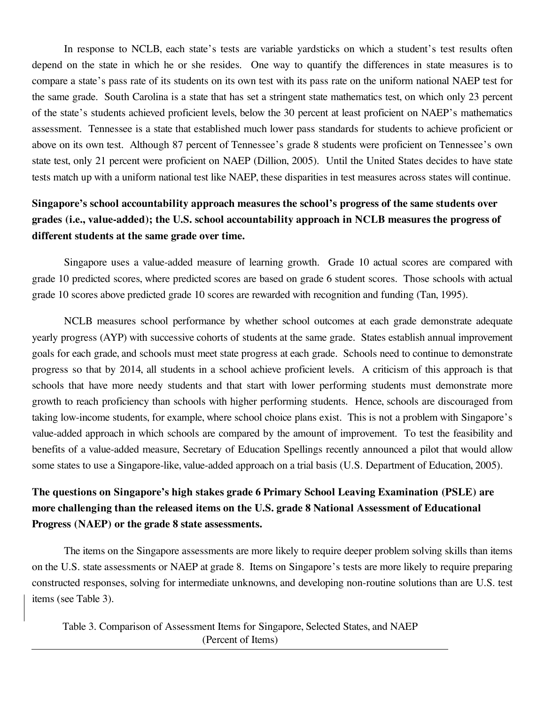In response to NCLB, each state's tests are variable yardsticks on which a student's test results often depend on the state in which he or she resides. One way to quantify the differences in state measures is to compare a state's pass rate of its students on its own test with its pass rate on the uniform national NAEP test for the same grade. South Carolina is a state that has set a stringent state mathematics test, on which only 23 percent of the state's students achieved proficient levels, below the 30 percent at least proficient on NAEP's mathematics assessment. Tennessee is a state that established much lower pass standards for students to achieve proficient or above on its own test. Although 87 percent of Tennessee's grade 8 students were proficient on Tennessee's own state test, only 21 percent were proficient on NAEP (Dillion, 2005). Until the United States decides to have state tests match up with a uniform national test like NAEP, these disparities in test measures across states will continue.

## **grades (i.e., value-added); the U.S. school accountability approach in NCLB measures the progress of Singapore's school accountability approach measures the school's progress of the same students over different students at the same grade over time.**

 Singapore uses a value-added measure of learning growth. Grade 10 actual scores are compared with grade 10 predicted scores, where predicted scores are based on grade 6 student scores. Those schools with actual grade 10 scores above predicted grade 10 scores are rewarded with recognition and funding (Tan, 1995).

 NCLB measures school performance by whether school outcomes at each grade demonstrate adequate yearly progress (AYP) with successive cohorts of students at the same grade. States establish annual improvement goals for each grade, and schools must meet state progress at each grade. Schools need to continue to demonstrate progress so that by 2014, all students in a school achieve proficient levels. A criticism of this approach is that schools that have more needy students and that start with lower performing students must demonstrate more growth to reach proficiency than schools with higher performing students. Hence, schools are discouraged from taking low-income students, for example, where school choice plans exist. This is not a problem with Singapore's value-added approach in which schools are compared by the amount of improvement. To test the feasibility and benefits of a value-added measure, Secretary of Education Spellings recently announced a pilot that would allow some states to use a Singapore-like, value-added approach on a trial basis (U.S. Department of Education, 2005).

# **The questions on Singapore's high stakes grade 6 Primary School Leaving Examination (PSLE) are more challenging than the released items on the U.S. grade 8 National Assessment of Educational Progress (NAEP) or the grade 8 state assessments.**

 The items on the Singapore assessments are more likely to require deeper problem solving skills than items on the U.S. state assessments or NAEP at grade 8. Items on Singapore's tests are more likely to require preparing constructed responses, solving for intermediate unknowns, and developing non-routine solutions than are U.S. test items (see Table 3).

 Table 3. Comparison of Assessment Items for Singapore, Selected States, and NAEP (Percent of Items)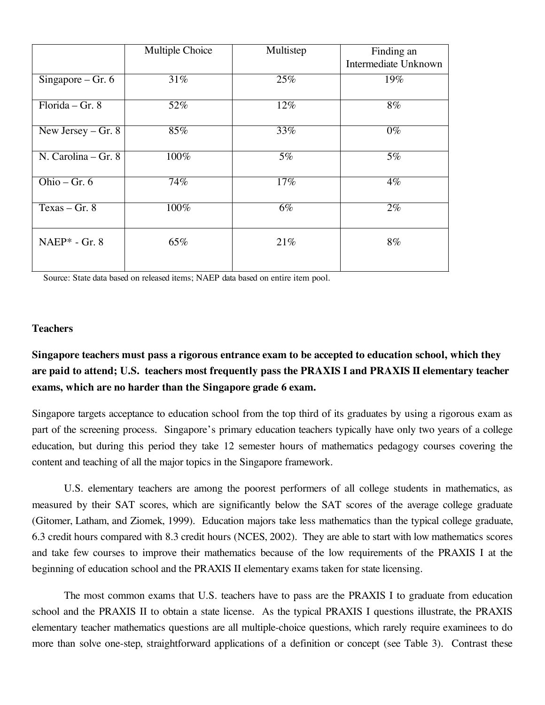|                                | Multiple Choice | Multistep | Finding an           |
|--------------------------------|-----------------|-----------|----------------------|
|                                |                 |           | Intermediate Unknown |
| Singapore – $\overline{Gr. 6}$ | 31%             | 25%       | 19%                  |
| Florida – Gr. $8$              | 52%             | 12%       | $8\%$                |
| New Jersey $-$ Gr. 8           | 85%             | 33%       | $0\%$                |
| $N. Carolina - Gr. 8$          | 100%            | $5\%$     | $\overline{5\%}$     |
| Ohio – Gr. $6$                 | 74%             | 17%       | $4\%$                |
| Texas $-\overline{Gr. 8}$      | 100%            | $6\%$     | $2\%$                |
| $NAEP* - Gr. 8$                | 65%             | 21%       | $8\%$                |

Source: State data based on released items; NAEP data based on entire item pool.

#### **Teachers**

# **are paid to attend; U.S. teachers most frequently pass the PRAXIS I and PRAXIS II elementary teacher Singapore teachers must pass a rigorous entrance exam to be accepted to education school, which they exams, which are no harder than the Singapore grade 6 exam.**

 Singapore targets acceptance to education school from the top third of its graduates by using a rigorous exam as part of the screening process. Singapore's primary education teachers typically have only two years of a college education, but during this period they take 12 semester hours of mathematics pedagogy courses covering the content and teaching of all the major topics in the Singapore framework.

 U.S. elementary teachers are among the poorest performers of all college students in mathematics, as measured by their SAT scores, which are significantly below the SAT scores of the average college graduate (Gitomer, Latham, and Ziomek, 1999). Education majors take less mathematics than the typical college graduate, 6.3 credit hours compared with 8.3 credit hours (NCES, 2002). They are able to start with low mathematics scores and take few courses to improve their mathematics because of the low requirements of the PRAXIS I at the beginning of education school and the PRAXIS II elementary exams taken for state licensing.

 The most common exams that U.S. teachers have to pass are the PRAXIS I to graduate from education school and the PRAXIS II to obtain a state license. As the typical PRAXIS I questions illustrate, the PRAXIS elementary teacher mathematics questions are all multiple-choice questions, which rarely require examinees to do more than solve one-step, straightforward applications of a definition or concept (see Table 3). Contrast these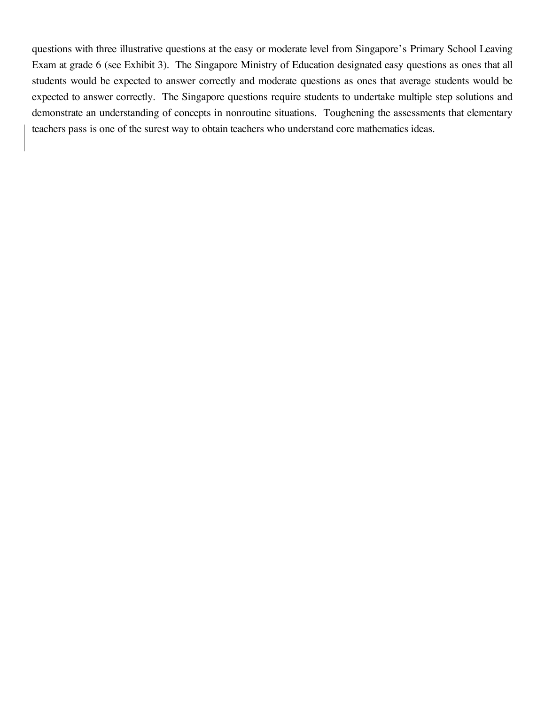questions with three illustrative questions at the easy or moderate level from Singapore's Primary School Leaving Exam at grade 6 (see Exhibit 3). The Singapore Ministry of Education designated easy questions as ones that all students would be expected to answer correctly and moderate questions as ones that average students would be expected to answer correctly. The Singapore questions require students to undertake multiple step solutions and demonstrate an understanding of concepts in nonroutine situations. Toughening the assessments that elementary teachers pass is one of the surest way to obtain teachers who understand core mathematics ideas.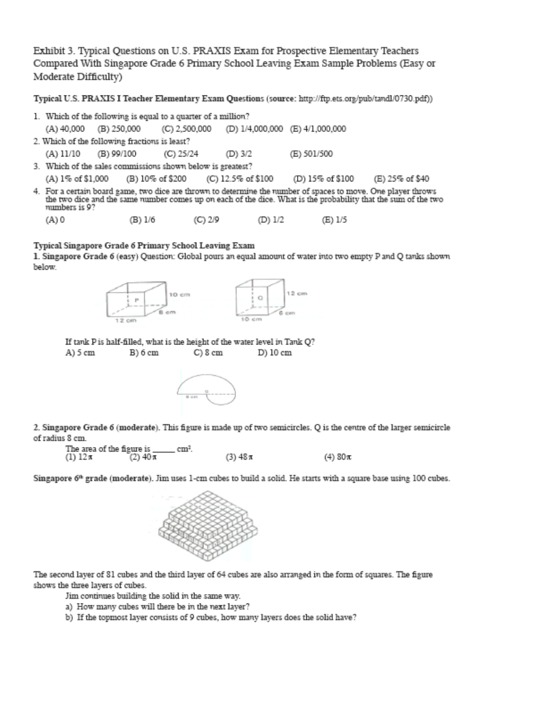Exhibit 3. Typical Questions on U.S. PRAXIS Exam for Prospective Elementary Teachers Compared With Singapore Grade 6 Primary School Leaving Exam Sample Problems (Easy or Moderate Difficulty)

Typical U.S. PRAXIS I Teacher Elementary Exam Questions (source: http://ftp.ets.org/pub/tandl/0730.pdf))

| 1. Which of the following is equal to a quarter of a million? |                                                            |           |                                               |                                                                                                                                                                                                                                 |  |
|---------------------------------------------------------------|------------------------------------------------------------|-----------|-----------------------------------------------|---------------------------------------------------------------------------------------------------------------------------------------------------------------------------------------------------------------------------------|--|
| (A) 40,000                                                    | (B) 250,000                                                |           | (C) 2,500,000 (D) 1/4,000,000 (E) 4/1,000,000 |                                                                                                                                                                                                                                 |  |
|                                                               | 2. Which of the following fractions is least?              |           |                                               |                                                                                                                                                                                                                                 |  |
| (A) 11/10                                                     | (B) 99/100                                                 | (C) 25/24 | (D) 3/2                                       | (E) 501/500                                                                                                                                                                                                                     |  |
|                                                               | 3. Which of the sales commissions shown below is greatest? |           |                                               |                                                                                                                                                                                                                                 |  |
|                                                               |                                                            |           |                                               | (A) 1% of \$1,000 (B) 10% of \$200 (C) 12.5% of \$100 (D) 15% of \$100 (E) 25% of \$40                                                                                                                                          |  |
| numbers is 9?                                                 |                                                            |           |                                               | 4. For a certain board game, two dice are thrown to determine the number of spaces to move. One player throws<br>the two dice and the same number comes up on each of the dice. What is the probability that the sum of the two |  |

(A) 0  $(B) 1/6$  $(C) 2/9$ (D) 1/2 (E) 1/5

#### Typical Singapore Grade 6 Primary School Leaving Exam

1. Singapore Grade 6 (easy) Question: Global pours an equal amount of water into two empty P and Q tanks shown below.



If tank P is half-filled, what is the height of the water level in Tank Q? A) 5 cm B) 6 cm  $C)$  8 cm D) 10 cm



2. Singapore Grade 6 (moderate). This figure is made up of two semicircles. Q is the centre of the larger semicircle of radius 8 cm.

| The area of the figure is |            |           |           |
|---------------------------|------------|-----------|-----------|
| (1) 12π                   | $(2)40\pi$ | $(3)$ 48π | $(4)$ 80π |

Singapore 6<sup>th</sup> grade (moderate). Jim uses 1-cm cubes to build a solid. He starts with a square base using 100 cubes.



The second layer of 81 cubes and the third layer of 64 cubes are also arranged in the form of squares. The figure shows the three layers of cubes.

Jim continues building the solid in the same way.

a) How many cubes will there be in the next layer?

b) If the topmost layer consists of 9 cubes, how many layers does the solid have?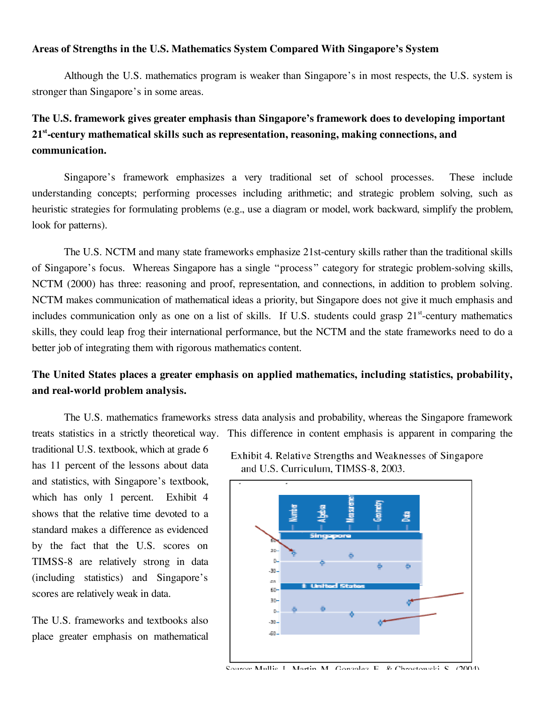#### **Areas of Strengths in the U.S. Mathematics System Compared With Singapore's System**

 Although the U.S. mathematics program is weaker than Singapore's in most respects, the U.S. system is stronger than Singapore's in some areas.

# **The U.S. framework gives greater emphasis than Singapore's framework does to developing important communication. 21st-century mathematical skills such as representation, reasoning, making connections, and**

 Singapore's framework emphasizes a very traditional set of school processes. These include understanding concepts; performing processes including arithmetic; and strategic problem solving, such as heuristic strategies for formulating problems (e.g., use a diagram or model, work backward, simplify the problem, look for patterns).

 of Singapore's focus. Whereas Singapore has a single "process " category for strategic problem-solving skills, NCTM (2000) has three: reasoning and proof, representation, and connections, in addition to problem solving. NCTM makes communication of mathematical ideas a priority, but Singapore does not give it much emphasis and includes communication only as one on a list of skills. If U.S. students could grasp 21<sup>st</sup>-century mathematics skills, they could leap frog their international performance, but the NCTM and the state frameworks need to do a better job of integrating them with rigorous mathematics content. The U.S. NCTM and many state frameworks emphasize 21st-century skills rather than the traditional skills

## **The United States places a greater emphasis on applied mathematics, including statistics, probability, and real-world problem analysis.**

 The U.S. mathematics frameworks stress data analysis and probability, whereas the Singapore framework treats statistics in a strictly theoretical way. This difference in content emphasis is apparent in comparing the

 has 11 percent of the lessons about data and statistics, with Singapore's textbook, which has only 1 percent. Exhibit 4 shows that the relative time devoted to a standard makes a difference as evidenced by the fact that the U.S. scores on TIMSS-8 are relatively strong in data traditional U.S. textbook, which at grade 6 (including statistics) and Singapore's scores are relatively weak in data.

The U.S. frameworks and textbooks also place greater emphasis on mathematical





Source: Mullie I Martin M. Gonzalez E. & Chrostoweki S. (2004)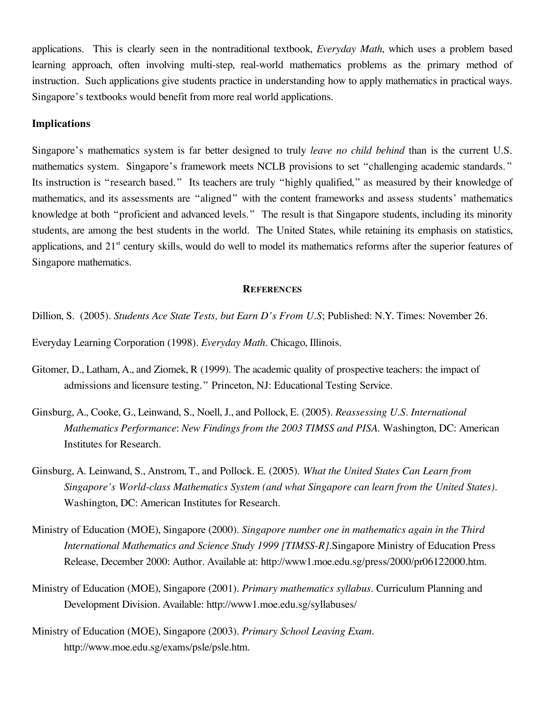applications. This is clearly seen in the nontraditional textbook, *Everyday Math*, which uses a problem based learning approach, often involving multi-step, real-world mathematics problems as the primary method of instruction. Such applications give students practice in understanding how to apply mathematics in practical ways. Singapore's textbooks would benefit from more real world applications.

#### **Implications**

 Singapore's mathematics system is far better designed to truly *leave no child behind* than is the current U.S. mathematics system. Singapore's framework meets NCLB provisions to set "challenging academic standards. " Its instruction is "research based." Its teachers are truly "highly qualified," as measured by their knowledge of mathematics, and its assessments are "aligned" with the content frameworks and assess students' mathematics knowledge at both "proficient and advanced levels." The result is that Singapore students, including its minority students, are among the best students in the world. The United States, while retaining its emphasis on statistics, applications, and 21<sup>st</sup> century skills, would do well to model its mathematics reforms after the superior features of Singapore mathematics.

#### **REFERENCES**

 Dillion, S. (2005). *Students Ace State Tests, but Earn D's From U.S*; Published: N.Y. Times: November 26.

Everyday Learning Corporation (1998). *Everyday Math.* Chicago, Illinois.

- Gitomer, D., Latham, A., and Ziomek, R (1999). The academic quality of prospective teachers: the impact of admissions and licensure testing." Princeton, NJ: Educational Testing Service.
- Ginsburg, A., Cooke, G., Leinwand, S., Noell, J., and Pollock, E. (2005). *Reassessing U.S. International Mathematics Performance*: *New Findings from the 2003 TIMSS and PISA.* Washington, DC: American Institutes for Research.
- Ginsburg, A. Leinwand, S., Anstrom, T., and Pollock. E. (2005). *What the United States Can Learn from Singapore's World-class Mathematics System (and what Singapore can learn from the United States).*  Washington, DC: American Institutes for Research.
- Release, December 2000: Author. Available at: http://www1.moe.edu.sg/press/2000/pr06122000.htm. Ministry of Education (MOE), Singapore (2000). *Singapore number one in mathematics again in the Third International Mathematics and Science Study 1999 [TIMSS-R]*.Singapore Ministry of Education Press
- Ministry of Education (MOE), Singapore (2001). *Primary mathematics syllabus.* Curriculum Planning and Development Division. Available: http://www1.moe.edu.sg/syllabuses/
- Ministry of Education (MOE), Singapore (2003). *Primary School Leaving Exam.*  http://www.moe.edu.sg/exams/psle/psle.htm.